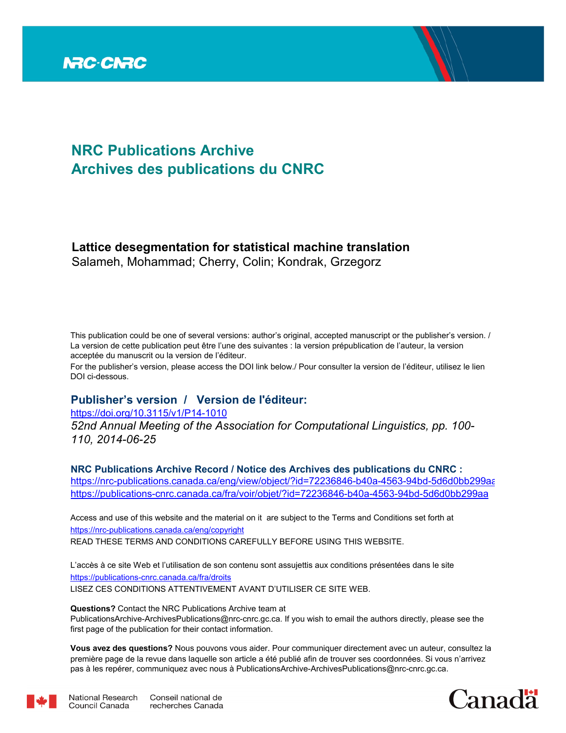

# **NRC Publications Archive Archives des publications du CNRC**

# **Lattice desegmentation for statistical machine translation**

Salameh, Mohammad; Cherry, Colin; Kondrak, Grzegorz

This publication could be one of several versions: author's original, accepted manuscript or the publisher's version. / La version de cette publication peut être l'une des suivantes : la version prépublication de l'auteur, la version acceptée du manuscrit ou la version de l'éditeur.

For the publisher's version, please access the DOI link below./ Pour consulter la version de l'éditeur, utilisez le lien DOI ci-dessous.

# **Publisher's version / Version de l'éditeur:**

https://doi.org/10.3115/v1/P14-1010

*52nd Annual Meeting of the Association for Computational Linguistics, pp. 100- 110, 2014-06-25*

**NRC Publications Archive Record / Notice des Archives des publications du CNRC :**

https://nrc-publications.canada.ca/eng/view/object/?id=72236846-b40a-4563-94bd-5d6d0bb299aa https://publications-cnrc.canada.ca/fra/voir/objet/?id=72236846-b40a-4563-94bd-5d6d0bb299aa

READ THESE TERMS AND CONDITIONS CAREFULLY BEFORE USING THIS WEBSITE. https://nrc-publications.canada.ca/eng/copyright Access and use of this website and the material on it are subject to the Terms and Conditions set forth at

https://publications-cnrc.canada.ca/fra/droits L'accès à ce site Web et l'utilisation de son contenu sont assujettis aux conditions présentées dans le site LISEZ CES CONDITIONS ATTENTIVEMENT AVANT D'UTILISER CE SITE WEB.

**Questions?** Contact the NRC Publications Archive team at

PublicationsArchive-ArchivesPublications@nrc-cnrc.gc.ca. If you wish to email the authors directly, please see the first page of the publication for their contact information.

**Vous avez des questions?** Nous pouvons vous aider. Pour communiquer directement avec un auteur, consultez la première page de la revue dans laquelle son article a été publié afin de trouver ses coordonnées. Si vous n'arrivez pas à les repérer, communiquez avec nous à PublicationsArchive-ArchivesPublications@nrc-cnrc.gc.ca.



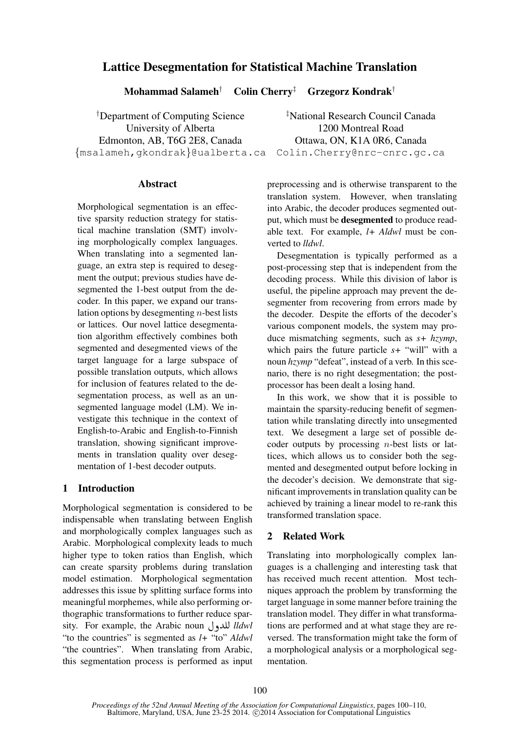# Lattice Desegmentation for Statistical Machine Translation

Mohammad Salameh† Colin Cherry‡ Grzegorz Kondrak†

University of Alberta 1200 Montreal Road Edmonton, AB, T6G 2E8, Canada Ottawa, ON, K1A 0R6, Canada {msalameh,gkondrak}@ualberta.ca Colin.Cherry@nrc-cnrc.gc.ca

†Department of Computing Science ‡National Research Council Canada

# **Abstract**

Morphological segmentation is an effective sparsity reduction strategy for statistical machine translation (SMT) involving morphologically complex languages. When translating into a segmented language, an extra step is required to desegment the output; previous studies have desegmented the 1-best output from the decoder. In this paper, we expand our translation options by desegmenting  $n$ -best lists or lattices. Our novel lattice desegmentation algorithm effectively combines both segmented and desegmented views of the target language for a large subspace of possible translation outputs, which allows for inclusion of features related to the desegmentation process, as well as an unsegmented language model (LM). We investigate this technique in the context of English-to-Arabic and English-to-Finnish translation, showing significant improvements in translation quality over desegmentation of 1-best decoder outputs.

# 1 Introduction

Morphological segmentation is considered to be indispensable when translating between English and morphologically complex languages such as Arabic. Morphological complexity leads to much higher type to token ratios than English, which can create sparsity problems during translation model estimation. Morphological segmentation addresses this issue by splitting surface forms into meaningful morphemes, while also performing orthographic transformations to further reduce sparsity. For example, the Arabic noun للدول *lldwl* "to the countries" is segmented as *l+* "to" *Aldwl* "the countries". When translating from Arabic, this segmentation process is performed as input preprocessing and is otherwise transparent to the translation system. However, when translating into Arabic, the decoder produces segmented output, which must be desegmented to produce readable text. For example, *l+ Aldwl* must be converted to *lldwl*.

Desegmentation is typically performed as a post-processing step that is independent from the decoding process. While this division of labor is useful, the pipeline approach may prevent the desegmenter from recovering from errors made by the decoder. Despite the efforts of the decoder's various component models, the system may produce mismatching segments, such as *s+ hzymp*, which pairs the future particle *s+* "will" with a noun *hzymp* "defeat", instead of a verb. In this scenario, there is no right desegmentation; the postprocessor has been dealt a losing hand.

In this work, we show that it is possible to maintain the sparsity-reducing benefit of segmentation while translating directly into unsegmented text. We desegment a large set of possible decoder outputs by processing *n*-best lists or lattices, which allows us to consider both the segmented and desegmented output before locking in the decoder's decision. We demonstrate that significant improvements in translation quality can be achieved by training a linear model to re-rank this transformed translation space.

# 2 Related Work

Translating into morphologically complex languages is a challenging and interesting task that has received much recent attention. Most techniques approach the problem by transforming the target language in some manner before training the translation model. They differ in what transformations are performed and at what stage they are reversed. The transformation might take the form of a morphological analysis or a morphological segmentation.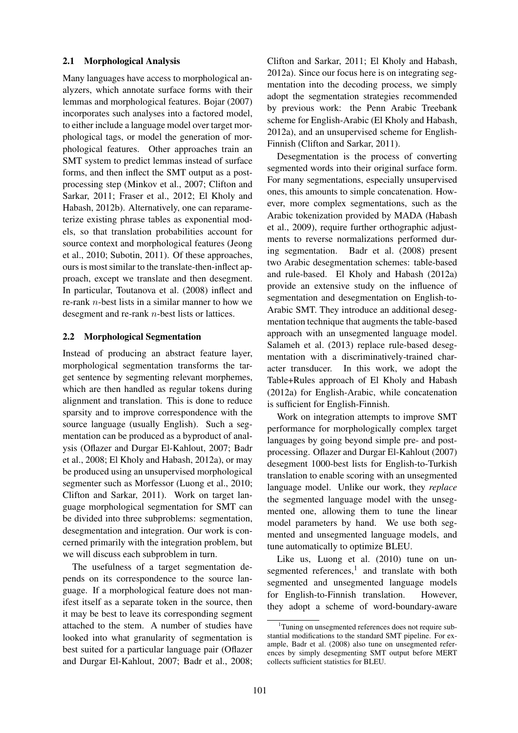# 2.1 Morphological Analysis

Many languages have access to morphological analyzers, which annotate surface forms with their lemmas and morphological features. Bojar (2007) incorporates such analyses into a factored model, to either include a language model over target morphological tags, or model the generation of morphological features. Other approaches train an SMT system to predict lemmas instead of surface forms, and then inflect the SMT output as a postprocessing step (Minkov et al., 2007; Clifton and Sarkar, 2011; Fraser et al., 2012; El Kholy and Habash, 2012b). Alternatively, one can reparameterize existing phrase tables as exponential models, so that translation probabilities account for source context and morphological features (Jeong et al., 2010; Subotin, 2011). Of these approaches, ours is most similar to the translate-then-inflect approach, except we translate and then desegment. In particular, Toutanova et al. (2008) inflect and re-rank n-best lists in a similar manner to how we desegment and re-rank n-best lists or lattices.

# 2.2 Morphological Segmentation

Instead of producing an abstract feature layer, morphological segmentation transforms the target sentence by segmenting relevant morphemes, which are then handled as regular tokens during alignment and translation. This is done to reduce sparsity and to improve correspondence with the source language (usually English). Such a segmentation can be produced as a byproduct of analysis (Oflazer and Durgar El-Kahlout, 2007; Badr et al., 2008; El Kholy and Habash, 2012a), or may be produced using an unsupervised morphological segmenter such as Morfessor (Luong et al., 2010; Clifton and Sarkar, 2011). Work on target language morphological segmentation for SMT can be divided into three subproblems: segmentation, desegmentation and integration. Our work is concerned primarily with the integration problem, but we will discuss each subproblem in turn.

The usefulness of a target segmentation depends on its correspondence to the source language. If a morphological feature does not manifest itself as a separate token in the source, then it may be best to leave its corresponding segment attached to the stem. A number of studies have looked into what granularity of segmentation is best suited for a particular language pair (Oflazer and Durgar El-Kahlout, 2007; Badr et al., 2008; Clifton and Sarkar, 2011; El Kholy and Habash, 2012a). Since our focus here is on integrating segmentation into the decoding process, we simply adopt the segmentation strategies recommended by previous work: the Penn Arabic Treebank scheme for English-Arabic (El Kholy and Habash, 2012a), and an unsupervised scheme for English-Finnish (Clifton and Sarkar, 2011).

Desegmentation is the process of converting segmented words into their original surface form. For many segmentations, especially unsupervised ones, this amounts to simple concatenation. However, more complex segmentations, such as the Arabic tokenization provided by MADA (Habash et al., 2009), require further orthographic adjustments to reverse normalizations performed during segmentation. Badr et al. (2008) present two Arabic desegmentation schemes: table-based and rule-based. El Kholy and Habash (2012a) provide an extensive study on the influence of segmentation and desegmentation on English-to-Arabic SMT. They introduce an additional desegmentation technique that augments the table-based approach with an unsegmented language model. Salameh et al. (2013) replace rule-based desegmentation with a discriminatively-trained character transducer. In this work, we adopt the Table+Rules approach of El Kholy and Habash (2012a) for English-Arabic, while concatenation is sufficient for English-Finnish.

Work on integration attempts to improve SMT performance for morphologically complex target languages by going beyond simple pre- and postprocessing. Oflazer and Durgar El-Kahlout (2007) desegment 1000-best lists for English-to-Turkish translation to enable scoring with an unsegmented language model. Unlike our work, they *replace* the segmented language model with the unsegmented one, allowing them to tune the linear model parameters by hand. We use both segmented and unsegmented language models, and tune automatically to optimize BLEU.

Like us, Luong et al. (2010) tune on unsegmented references, $<sup>1</sup>$  and translate with both</sup> segmented and unsegmented language models for English-to-Finnish translation. However, they adopt a scheme of word-boundary-aware

<sup>&</sup>lt;sup>1</sup>Tuning on unsegmented references does not require substantial modifications to the standard SMT pipeline. For example, Badr et al. (2008) also tune on unsegmented references by simply desegmenting SMT output before MERT collects sufficient statistics for BLEU.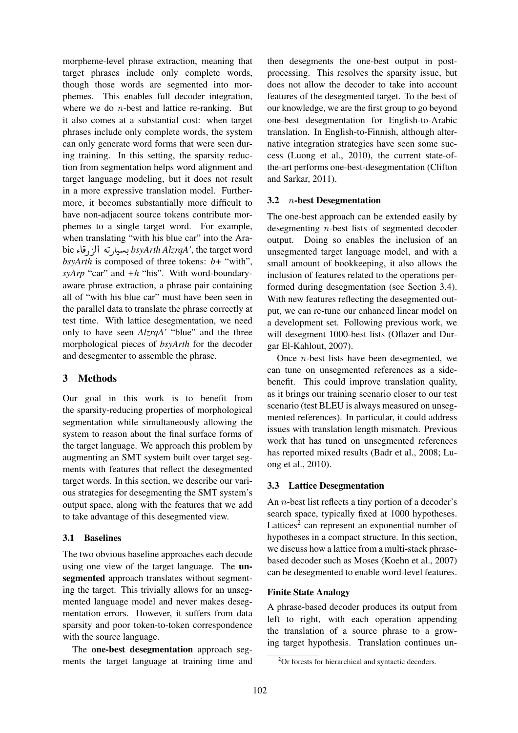morpheme-level phrase extraction, meaning that target phrases include only complete words, though those words are segmented into morphemes. This enables full decoder integration, where we do  $n$ -best and lattice re-ranking. But it also comes at a substantial cost: when target phrases include only complete words, the system can only generate word forms that were seen during training. In this setting, the sparsity reduction from segmentation helps word alignment and target language modeling, but it does not result in a more expressive translation model. Furthermore, it becomes substantially more difficult to have non-adjacent source tokens contribute morphemes to a single target word. For example, when translating "with his blue car" into the Arawhen dansiating with his one car "fillo the Ala-<br>bic بسيارته الزرقاء<br>المستقدم المصدر المصدر المصدر المصدر المصدر المصدر المصدر المصدر المصدر المصدر المصدر المصدر *bsyArth* is composed of three tokens: *b+* "with", *syArp* "car" and *+h* "his". With word-boundaryaware phrase extraction, a phrase pair containing all of "with his blue car" must have been seen in the parallel data to translate the phrase correctly at test time. With lattice desegmentation, we need only to have seen *AlzrqA'* "blue" and the three morphological pieces of *bsyArth* for the decoder and desegmenter to assemble the phrase.

# 3 Methods

Our goal in this work is to benefit from the sparsity-reducing properties of morphological segmentation while simultaneously allowing the system to reason about the final surface forms of the target language. We approach this problem by augmenting an SMT system built over target segments with features that reflect the desegmented target words. In this section, we describe our various strategies for desegmenting the SMT system's output space, along with the features that we add to take advantage of this desegmented view.

## 3.1 Baselines

The two obvious baseline approaches each decode using one view of the target language. The unsegmented approach translates without segmenting the target. This trivially allows for an unsegmented language model and never makes desegmentation errors. However, it suffers from data sparsity and poor token-to-token correspondence with the source language.

The one-best desegmentation approach segments the target language at training time and then desegments the one-best output in postprocessing. This resolves the sparsity issue, but does not allow the decoder to take into account features of the desegmented target. To the best of our knowledge, we are the first group to go beyond one-best desegmentation for English-to-Arabic translation. In English-to-Finnish, although alternative integration strategies have seen some success (Luong et al., 2010), the current state-ofthe-art performs one-best-desegmentation (Clifton and Sarkar, 2011).

#### 3.2  $n$ -best Desegmentation

The one-best approach can be extended easily by desegmenting n-best lists of segmented decoder output. Doing so enables the inclusion of an unsegmented target language model, and with a small amount of bookkeeping, it also allows the inclusion of features related to the operations performed during desegmentation (see Section 3.4). With new features reflecting the desegmented output, we can re-tune our enhanced linear model on a development set. Following previous work, we will desegment 1000-best lists (Oflazer and Durgar El-Kahlout, 2007).

Once n-best lists have been desegmented, we can tune on unsegmented references as a sidebenefit. This could improve translation quality, as it brings our training scenario closer to our test scenario (test BLEU is always measured on unsegmented references). In particular, it could address issues with translation length mismatch. Previous work that has tuned on unsegmented references has reported mixed results (Badr et al., 2008; Luong et al., 2010).

#### 3.3 Lattice Desegmentation

An  $n$ -best list reflects a tiny portion of a decoder's search space, typically fixed at 1000 hypotheses. Lattices<sup>2</sup> can represent an exponential number of hypotheses in a compact structure. In this section, we discuss how a lattice from a multi-stack phrasebased decoder such as Moses (Koehn et al., 2007) can be desegmented to enable word-level features.

#### Finite State Analogy

A phrase-based decoder produces its output from left to right, with each operation appending the translation of a source phrase to a growing target hypothesis. Translation continues un-

 $2$ Or forests for hierarchical and syntactic decoders.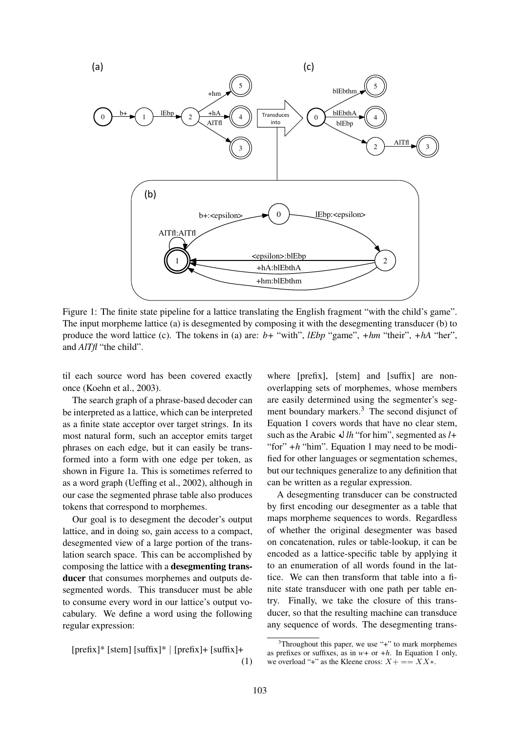

Figure 1: The finite state pipeline for a lattice translating the English fragment "with the child's game". The input morpheme lattice (a) is desegmented by composing it with the desegmenting transducer (b) to produce the word lattice (c). The tokens in (a) are: *b+* "with", *lEbp* "game", *+hm* "their", *+hA* "her", and *AlTfl* "the child".

til each source word has been covered exactly once (Koehn et al., 2003).

The search graph of a phrase-based decoder can be interpreted as a lattice, which can be interpreted as a finite state acceptor over target strings. In its most natural form, such an acceptor emits target phrases on each edge, but it can easily be transformed into a form with one edge per token, as shown in Figure 1a. This is sometimes referred to as a word graph (Ueffing et al., 2002), although in our case the segmented phrase table also produces tokens that correspond to morphemes.

Our goal is to desegment the decoder's output lattice, and in doing so, gain access to a compact, desegmented view of a large portion of the translation search space. This can be accomplished by composing the lattice with a desegmenting transducer that consumes morphemes and outputs desegmented words. This transducer must be able to consume every word in our lattice's output vocabulary. We define a word using the following regular expression:

$$
[prefix] * [stem] [suffix] * | [prefix] + [suffix] + (1)
$$

where [prefix], [stem] and [suffix] are nonoverlapping sets of morphemes, whose members are easily determined using the segmenter's segment boundary markers.<sup>3</sup> The second disjunct of Equation 1 covers words that have no clear stem, such as the Arabic  $\downarrow$  *lh* "for him", segmented as *l*+ "for" *+h* "him". Equation 1 may need to be modified for other languages or segmentation schemes, but our techniques generalize to any definition that can be written as a regular expression.

A desegmenting transducer can be constructed by first encoding our desegmenter as a table that maps morpheme sequences to words. Regardless of whether the original desegmenter was based on concatenation, rules or table-lookup, it can be encoded as a lattice-specific table by applying it to an enumeration of all words found in the lattice. We can then transform that table into a finite state transducer with one path per table entry. Finally, we take the closure of this transducer, so that the resulting machine can transduce any sequence of words. The desegmenting trans-

 $3$ Throughout this paper, we use "+" to mark morphemes as prefixes or suffixes, as in  $w+$  or  $+h$ . In Equation 1 only, we overload "+" as the Kleene cross:  $X+=X X*$ .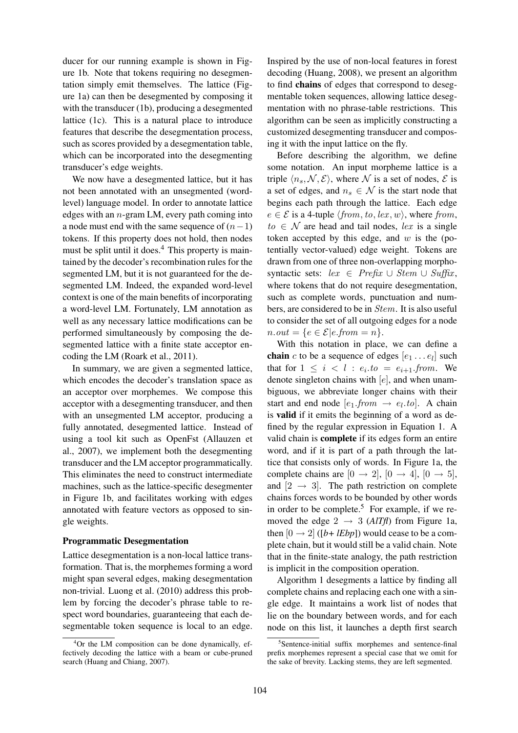ducer for our running example is shown in Figure 1b. Note that tokens requiring no desegmentation simply emit themselves. The lattice (Figure 1a) can then be desegmented by composing it with the transducer (1b), producing a desegmented lattice (1c). This is a natural place to introduce features that describe the desegmentation process, such as scores provided by a desegmentation table, which can be incorporated into the desegmenting transducer's edge weights.

We now have a desegmented lattice, but it has not been annotated with an unsegmented (wordlevel) language model. In order to annotate lattice edges with an  $n$ -gram LM, every path coming into a node must end with the same sequence of  $(n-1)$ tokens. If this property does not hold, then nodes must be split until it does. $4$  This property is maintained by the decoder's recombination rules for the segmented LM, but it is not guaranteed for the desegmented LM. Indeed, the expanded word-level context is one of the main benefits of incorporating a word-level LM. Fortunately, LM annotation as well as any necessary lattice modifications can be performed simultaneously by composing the desegmented lattice with a finite state acceptor encoding the LM (Roark et al., 2011).

In summary, we are given a segmented lattice, which encodes the decoder's translation space as an acceptor over morphemes. We compose this acceptor with a desegmenting transducer, and then with an unsegmented LM acceptor, producing a fully annotated, desegmented lattice. Instead of using a tool kit such as OpenFst (Allauzen et al., 2007), we implement both the desegmenting transducer and the LM acceptor programmatically. This eliminates the need to construct intermediate machines, such as the lattice-specific desegmenter in Figure 1b, and facilitates working with edges annotated with feature vectors as opposed to single weights.

#### Programmatic Desegmentation

Lattice desegmentation is a non-local lattice transformation. That is, the morphemes forming a word might span several edges, making desegmentation non-trivial. Luong et al. (2010) address this problem by forcing the decoder's phrase table to respect word boundaries, guaranteeing that each desegmentable token sequence is local to an edge. Inspired by the use of non-local features in forest decoding (Huang, 2008), we present an algorithm to find chains of edges that correspond to desegmentable token sequences, allowing lattice desegmentation with no phrase-table restrictions. This algorithm can be seen as implicitly constructing a customized desegmenting transducer and composing it with the input lattice on the fly.

Before describing the algorithm, we define some notation. An input morpheme lattice is a triple  $\langle n_s, \mathcal{N}, \mathcal{E} \rangle$ , where N is a set of nodes, E is a set of edges, and  $n_s \in \mathcal{N}$  is the start node that begins each path through the lattice. Each edge  $e \in \mathcal{E}$  is a 4-tuple  $\langle from, to, lex, w \rangle$ , where from,  $to \in \mathcal{N}$  are head and tail nodes, lex is a single token accepted by this edge, and  $w$  is the (potentially vector-valued) edge weight. Tokens are drawn from one of three non-overlapping morphosyntactic sets:  $lex \in Prefx \cup Stem \cup Suffix$ , where tokens that do not require desegmentation, such as complete words, punctuation and numbers, are considered to be in Stem. It is also useful to consider the set of all outgoing edges for a node  $n.out = \{e \in \mathcal{E} | e \text{ from } = n\}.$ 

With this notation in place, we can define a **chain** c to be a sequence of edges  $[e_1 \dots e_l]$  such that for  $1 \leq i \leq l$  :  $e_i \cdot to = e_{i+1} \cdot from$ . We denote singleton chains with [e], and when unambiguous, we abbreviate longer chains with their start and end node  $[e_1 \text{ from } \rightarrow e_l \text{ to}]$ . A chain is valid if it emits the beginning of a word as defined by the regular expression in Equation 1. A valid chain is complete if its edges form an entire word, and if it is part of a path through the lattice that consists only of words. In Figure 1a, the complete chains are  $[0 \rightarrow 2]$ ,  $[0 \rightarrow 4]$ ,  $[0 \rightarrow 5]$ , and  $[2 \rightarrow 3]$ . The path restriction on complete chains forces words to be bounded by other words in order to be complete.<sup>5</sup> For example, if we removed the edge  $2 \rightarrow 3$  (*AlTfl*) from Figure 1a, then  $[0 \rightarrow 2]$  ([*b*+ *lEbp*]) would cease to be a complete chain, but it would still be a valid chain. Note that in the finite-state analogy, the path restriction is implicit in the composition operation.

Algorithm 1 desegments a lattice by finding all complete chains and replacing each one with a single edge. It maintains a work list of nodes that lie on the boundary between words, and for each node on this list, it launches a depth first search

 ${}^{4}$ Or the LM composition can be done dynamically, effectively decoding the lattice with a beam or cube-pruned search (Huang and Chiang, 2007).

<sup>5</sup> Sentence-initial suffix morphemes and sentence-final prefix morphemes represent a special case that we omit for the sake of brevity. Lacking stems, they are left segmented.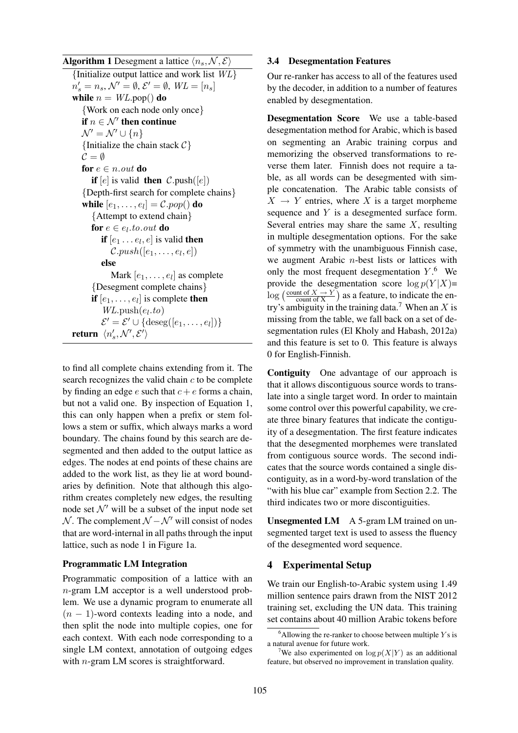**Algorithm 1** Desegment a lattice  $\langle n_s, \mathcal{N}, \mathcal{E} \rangle$ {Initialize output lattice and work list  $WL$ }  $n'_{s} = n_{s}, \mathcal{N}' = \emptyset, \mathcal{E}' = \emptyset, WL = [n_{s}]$ while  $n = WL$ .pop() do {Work on each node only once} if  $n \in \mathcal{N}'$  then continue  $\mathcal{N}' = \mathcal{N}' \cup \{n\}$ {Initialize the chain stack  $C$ }  $C = \emptyset$ for  $e \in n$ . *out* do **if**  $[e]$  is valid **then**  $C.\text{push}([e])$ {Depth-first search for complete chains} while  $[e_1, \ldots, e_l] = \mathcal{C} . pop()$  do {Attempt to extend chain} for  $e \in e_l$  to out do **if**  $[e_1 \dots e_l, e]$  is valid **then**  $\mathcal{C}.push([e_1, \ldots, e_l, e])$ else Mark  $[e_1, \ldots, e_l]$  as complete {Desegment complete chains} **if**  $[e_1, \ldots, e_l]$  is complete **then**  $WL$ .push $(e_l.to)$  $\mathcal{E}' = \mathcal{E}' \cup \{\text{desc}([e_1,\ldots,e_l])\}$ return  $\langle n'_s, \mathcal{N}', \mathcal{E}' \rangle$ 

to find all complete chains extending from it. The search recognizes the valid chain  $c$  to be complete by finding an edge e such that  $c + e$  forms a chain, but not a valid one. By inspection of Equation 1, this can only happen when a prefix or stem follows a stem or suffix, which always marks a word boundary. The chains found by this search are desegmented and then added to the output lattice as edges. The nodes at end points of these chains are added to the work list, as they lie at word boundaries by definition. Note that although this algorithm creates completely new edges, the resulting node set  $\mathcal{N}'$  will be a subset of the input node set  $\mathcal N$ . The complement  $\mathcal N - \mathcal N'$  will consist of nodes that are word-internal in all paths through the input lattice, such as node 1 in Figure 1a.

# Programmatic LM Integration

Programmatic composition of a lattice with an n-gram LM acceptor is a well understood problem. We use a dynamic program to enumerate all  $(n - 1)$ -word contexts leading into a node, and then split the node into multiple copies, one for each context. With each node corresponding to a single LM context, annotation of outgoing edges with *n*-gram LM scores is straightforward.

#### 3.4 Desegmentation Features

Our re-ranker has access to all of the features used by the decoder, in addition to a number of features enabled by desegmentation.

Desegmentation Score We use a table-based desegmentation method for Arabic, which is based on segmenting an Arabic training corpus and memorizing the observed transformations to reverse them later. Finnish does not require a table, as all words can be desegmented with simple concatenation. The Arabic table consists of  $X \rightarrow Y$  entries, where X is a target morpheme sequence and Y is a desegmented surface form. Several entries may share the same  $X$ , resulting in multiple desegmentation options. For the sake of symmetry with the unambiguous Finnish case, we augment Arabic  $n$ -best lists or lattices with only the most frequent desegmentation  $Y^6$ . We provide the desegmentation score  $\log p(Y|X)$ =  $\log \left( \frac{\text{count of } X \rightarrow Y}{\text{count of } X} \right)$  as a feature, to indicate the entry's ambiguity in the training data.<sup>7</sup> When an X is missing from the table, we fall back on a set of desegmentation rules (El Kholy and Habash, 2012a) and this feature is set to 0. This feature is always 0 for English-Finnish.

Contiguity One advantage of our approach is that it allows discontiguous source words to translate into a single target word. In order to maintain some control over this powerful capability, we create three binary features that indicate the contiguity of a desegmentation. The first feature indicates that the desegmented morphemes were translated from contiguous source words. The second indicates that the source words contained a single discontiguity, as in a word-by-word translation of the "with his blue car" example from Section 2.2. The third indicates two or more discontiguities.

Unsegmented LM A 5-gram LM trained on unsegmented target text is used to assess the fluency of the desegmented word sequence.

# 4 Experimental Setup

We train our English-to-Arabic system using 1.49 million sentence pairs drawn from the NIST 2012 training set, excluding the UN data. This training set contains about 40 million Arabic tokens before

 $6$ Allowing the re-ranker to choose between multiple Y s is a natural avenue for future work.

We also experimented on  $\log p(X|Y)$  as an additional feature, but observed no improvement in translation quality.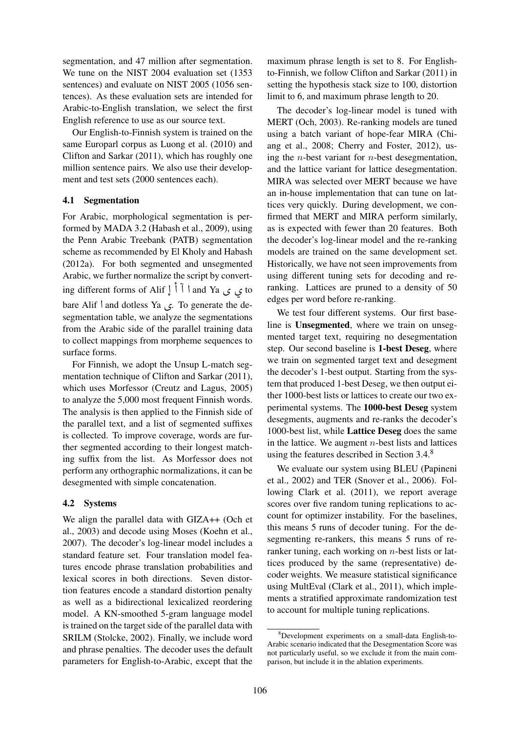segmentation, and 47 million after segmentation. We tune on the NIST 2004 evaluation set (1353 sentences) and evaluate on NIST 2005 (1056 sentences). As these evaluation sets are intended for Arabic-to-English translation, we select the first English reference to use as our source text.

Our English-to-Finnish system is trained on the same Europarl corpus as Luong et al. (2010) and Clifton and Sarkar (2011), which has roughly one million sentence pairs. We also use their development and test sets (2000 sentences each).

# 4.1 Segmentation

For Arabic, morphological segmentation is performed by MADA 3.2 (Habash et al., 2009), using the Penn Arabic Treebank (PATB) segmentation scheme as recommended by El Kholy and Habash (2012a). For both segmented and unsegmented Arabic, we further normalize the script by converting different forms of Alif ļ しらり @ c<br>آ to ي ی I and Ya و bare Alif | and dotless Ya بي. To generate the desegmentation table, we analyze the segmentations from the Arabic side of the parallel training data to collect mappings from morpheme sequences to surface forms.

For Finnish, we adopt the Unsup L-match segmentation technique of Clifton and Sarkar (2011), which uses Morfessor (Creutz and Lagus, 2005) to analyze the 5,000 most frequent Finnish words. The analysis is then applied to the Finnish side of the parallel text, and a list of segmented suffixes is collected. To improve coverage, words are further segmented according to their longest matching suffix from the list. As Morfessor does not perform any orthographic normalizations, it can be desegmented with simple concatenation.

# 4.2 Systems

We align the parallel data with GIZA++ (Och et al., 2003) and decode using Moses (Koehn et al., 2007). The decoder's log-linear model includes a standard feature set. Four translation model features encode phrase translation probabilities and lexical scores in both directions. Seven distortion features encode a standard distortion penalty as well as a bidirectional lexicalized reordering model. A KN-smoothed 5-gram language model is trained on the target side of the parallel data with SRILM (Stolcke, 2002). Finally, we include word and phrase penalties. The decoder uses the default parameters for English-to-Arabic, except that the

maximum phrase length is set to 8. For Englishto-Finnish, we follow Clifton and Sarkar (2011) in setting the hypothesis stack size to 100, distortion limit to 6, and maximum phrase length to 20.

The decoder's log-linear model is tuned with MERT (Och, 2003). Re-ranking models are tuned using a batch variant of hope-fear MIRA (Chiang et al., 2008; Cherry and Foster, 2012), using the *n*-best variant for *n*-best desegmentation, and the lattice variant for lattice desegmentation. MIRA was selected over MERT because we have an in-house implementation that can tune on lattices very quickly. During development, we confirmed that MERT and MIRA perform similarly, as is expected with fewer than 20 features. Both the decoder's log-linear model and the re-ranking models are trained on the same development set. Historically, we have not seen improvements from using different tuning sets for decoding and reranking. Lattices are pruned to a density of 50 edges per word before re-ranking.

We test four different systems. Our first baseline is Unsegmented, where we train on unsegmented target text, requiring no desegmentation step. Our second baseline is 1-best Deseg, where we train on segmented target text and desegment the decoder's 1-best output. Starting from the system that produced 1-best Deseg, we then output either 1000-best lists or lattices to create our two experimental systems. The 1000-best Deseg system desegments, augments and re-ranks the decoder's 1000-best list, while Lattice Deseg does the same in the lattice. We augment  $n$ -best lists and lattices using the features described in Section 3.4.<sup>8</sup>

We evaluate our system using BLEU (Papineni et al., 2002) and TER (Snover et al., 2006). Following Clark et al. (2011), we report average scores over five random tuning replications to account for optimizer instability. For the baselines, this means 5 runs of decoder tuning. For the desegmenting re-rankers, this means 5 runs of reranker tuning, each working on  $n$ -best lists or lattices produced by the same (representative) decoder weights. We measure statistical significance using MultEval (Clark et al., 2011), which implements a stratified approximate randomization test to account for multiple tuning replications.

<sup>8</sup>Development experiments on a small-data English-to-Arabic scenario indicated that the Desegmentation Score was not particularly useful, so we exclude it from the main comparison, but include it in the ablation experiments.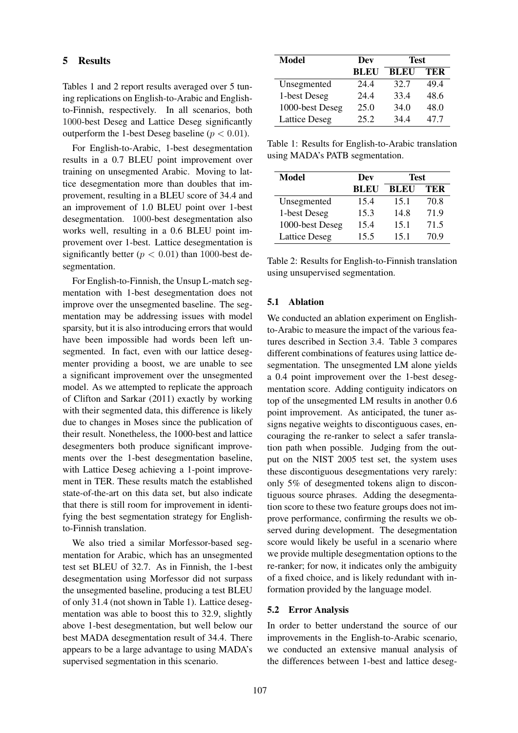Tables 1 and 2 report results averaged over 5 tuning replications on English-to-Arabic and Englishto-Finnish, respectively. In all scenarios, both 1000-best Deseg and Lattice Deseg significantly outperform the 1-best Deseg baseline ( $p < 0.01$ ).

For English-to-Arabic, 1-best desegmentation results in a 0.7 BLEU point improvement over training on unsegmented Arabic. Moving to lattice desegmentation more than doubles that improvement, resulting in a BLEU score of 34.4 and an improvement of 1.0 BLEU point over 1-best desegmentation. 1000-best desegmentation also works well, resulting in a 0.6 BLEU point improvement over 1-best. Lattice desegmentation is significantly better ( $p < 0.01$ ) than 1000-best desegmentation.

For English-to-Finnish, the Unsup L-match segmentation with 1-best desegmentation does not improve over the unsegmented baseline. The segmentation may be addressing issues with model sparsity, but it is also introducing errors that would have been impossible had words been left unsegmented. In fact, even with our lattice desegmenter providing a boost, we are unable to see a significant improvement over the unsegmented model. As we attempted to replicate the approach of Clifton and Sarkar (2011) exactly by working with their segmented data, this difference is likely due to changes in Moses since the publication of their result. Nonetheless, the 1000-best and lattice desegmenters both produce significant improvements over the 1-best desegmentation baseline, with Lattice Deseg achieving a 1-point improvement in TER. These results match the established state-of-the-art on this data set, but also indicate that there is still room for improvement in identifying the best segmentation strategy for Englishto-Finnish translation.

We also tried a similar Morfessor-based segmentation for Arabic, which has an unsegmented test set BLEU of 32.7. As in Finnish, the 1-best desegmentation using Morfessor did not surpass the unsegmented baseline, producing a test BLEU of only 31.4 (not shown in Table 1). Lattice desegmentation was able to boost this to 32.9, slightly above 1-best desegmentation, but well below our best MADA desegmentation result of 34.4. There appears to be a large advantage to using MADA's supervised segmentation in this scenario.

| <b>Model</b>         | Dev         | Test |      |
|----------------------|-------------|------|------|
|                      | <b>BLEU</b> | BLEU | TER  |
| Unsegmented          | 244         | 32.7 | 49.4 |
| 1-best Deseg         | 24 4        | 33.4 | 48.6 |
| 1000-best Deseg      | 25.0        | 34.0 | 48.0 |
| <b>Lattice Deseg</b> | 25.2        | 344  | 47 7 |

Table 1: Results for English-to-Arabic translation using MADA's PATB segmentation.

| <b>Model</b>         | Dev         | Test |      |
|----------------------|-------------|------|------|
|                      | <b>BLEU</b> | BLEU | TER  |
| Unsegmented          | 15.4        | 15.1 | 70.8 |
| 1-best Deseg         | 15.3        | 14.8 | 71.9 |
| 1000-best Deseg      | 15.4        | 15.1 | 71.5 |
| <b>Lattice Deseg</b> | 15.5        | 15.1 | 70.9 |

| Table 2: Results for English-to-Finnish translation |
|-----------------------------------------------------|
| using unsupervised segmentation.                    |

## 5.1 Ablation

We conducted an ablation experiment on Englishto-Arabic to measure the impact of the various features described in Section 3.4. Table 3 compares different combinations of features using lattice desegmentation. The unsegmented LM alone yields a 0.4 point improvement over the 1-best desegmentation score. Adding contiguity indicators on top of the unsegmented LM results in another 0.6 point improvement. As anticipated, the tuner assigns negative weights to discontiguous cases, encouraging the re-ranker to select a safer translation path when possible. Judging from the output on the NIST 2005 test set, the system uses these discontiguous desegmentations very rarely: only 5% of desegmented tokens align to discontiguous source phrases. Adding the desegmentation score to these two feature groups does not improve performance, confirming the results we observed during development. The desegmentation score would likely be useful in a scenario where we provide multiple desegmentation options to the re-ranker; for now, it indicates only the ambiguity of a fixed choice, and is likely redundant with information provided by the language model.

#### 5.2 Error Analysis

In order to better understand the source of our improvements in the English-to-Arabic scenario, we conducted an extensive manual analysis of the differences between 1-best and lattice deseg-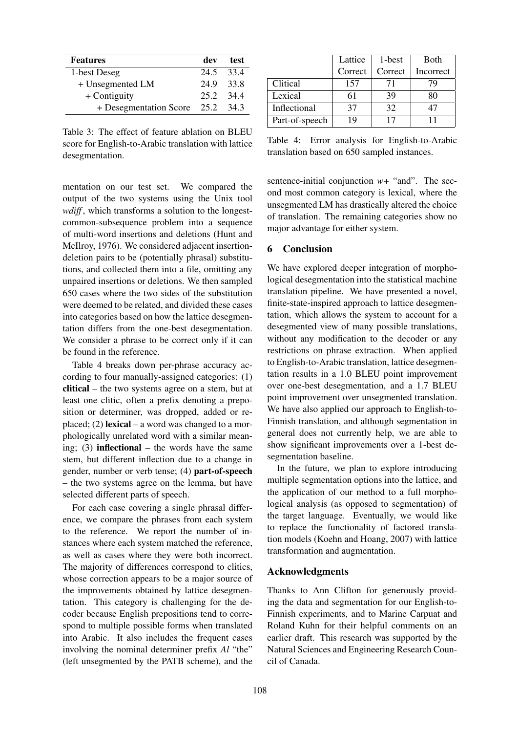| <b>Features</b>        | dev       | test. |
|------------------------|-----------|-------|
| 1-best Deseg           | 24.5 33.4 |       |
| + Unsegmented LM       | 24.9      | 33.8  |
| + Contiguity           | 25.2 34.4 |       |
| + Desegmentation Score | 25.2 34.3 |       |

Table 3: The effect of feature ablation on BLEU score for English-to-Arabic translation with lattice desegmentation.

mentation on our test set. We compared the output of the two systems using the Unix tool *wdiff* , which transforms a solution to the longestcommon-subsequence problem into a sequence of multi-word insertions and deletions (Hunt and McIlroy, 1976). We considered adjacent insertiondeletion pairs to be (potentially phrasal) substitutions, and collected them into a file, omitting any unpaired insertions or deletions. We then sampled 650 cases where the two sides of the substitution were deemed to be related, and divided these cases into categories based on how the lattice desegmentation differs from the one-best desegmentation. We consider a phrase to be correct only if it can be found in the reference.

Table 4 breaks down per-phrase accuracy according to four manually-assigned categories: (1) clitical – the two systems agree on a stem, but at least one clitic, often a prefix denoting a preposition or determiner, was dropped, added or replaced; (2) **lexical** – a word was changed to a morphologically unrelated word with a similar meaning; (3) **inflectional** – the words have the same stem, but different inflection due to a change in gender, number or verb tense; (4) part-of-speech – the two systems agree on the lemma, but have selected different parts of speech.

For each case covering a single phrasal difference, we compare the phrases from each system to the reference. We report the number of instances where each system matched the reference, as well as cases where they were both incorrect. The majority of differences correspond to clitics, whose correction appears to be a major source of the improvements obtained by lattice desegmentation. This category is challenging for the decoder because English prepositions tend to correspond to multiple possible forms when translated into Arabic. It also includes the frequent cases involving the nominal determiner prefix *Al* "the" (left unsegmented by the PATB scheme), and the

|                | Lattice | 1-best  | <b>B</b> oth |
|----------------|---------|---------|--------------|
|                | Correct | Correct | Incorrect    |
| Clitical       | 157     | 71      | 79           |
| Lexical        | 61      | 39      | XO           |
| Inflectional   | 37      | 32      | 47           |
| Part-of-speech | 19      |         | ш            |

Table 4: Error analysis for English-to-Arabic translation based on 650 sampled instances.

sentence-initial conjunction *w+* "and". The second most common category is lexical, where the unsegmented LM has drastically altered the choice of translation. The remaining categories show no major advantage for either system.

# 6 Conclusion

We have explored deeper integration of morphological desegmentation into the statistical machine translation pipeline. We have presented a novel, finite-state-inspired approach to lattice desegmentation, which allows the system to account for a desegmented view of many possible translations, without any modification to the decoder or any restrictions on phrase extraction. When applied to English-to-Arabic translation, lattice desegmentation results in a 1.0 BLEU point improvement over one-best desegmentation, and a 1.7 BLEU point improvement over unsegmented translation. We have also applied our approach to English-to-Finnish translation, and although segmentation in general does not currently help, we are able to show significant improvements over a 1-best desegmentation baseline.

In the future, we plan to explore introducing multiple segmentation options into the lattice, and the application of our method to a full morphological analysis (as opposed to segmentation) of the target language. Eventually, we would like to replace the functionality of factored translation models (Koehn and Hoang, 2007) with lattice transformation and augmentation.

# Acknowledgments

Thanks to Ann Clifton for generously providing the data and segmentation for our English-to-Finnish experiments, and to Marine Carpuat and Roland Kuhn for their helpful comments on an earlier draft. This research was supported by the Natural Sciences and Engineering Research Council of Canada.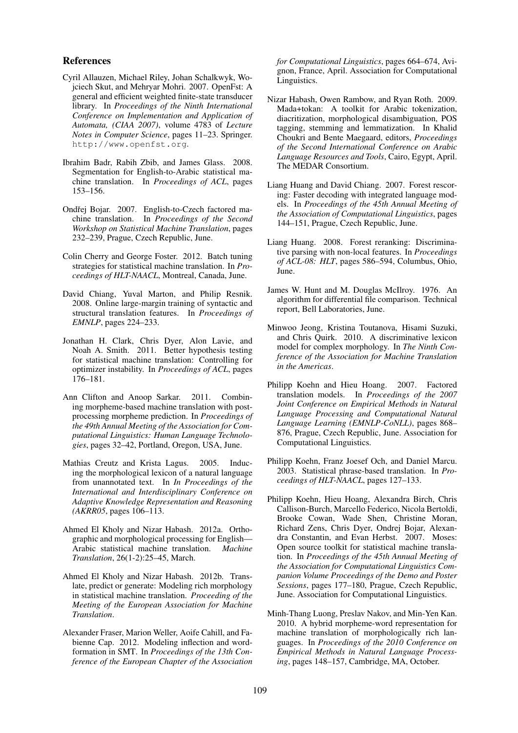#### References

- Cyril Allauzen, Michael Riley, Johan Schalkwyk, Wojciech Skut, and Mehryar Mohri. 2007. OpenFst: A general and efficient weighted finite-state transducer library. In *Proceedings of the Ninth International Conference on Implementation and Application of Automata, (CIAA 2007)*, volume 4783 of *Lecture Notes in Computer Science*, pages 11–23. Springer. http://www.openfst.org.
- Ibrahim Badr, Rabih Zbib, and James Glass. 2008. Segmentation for English-to-Arabic statistical machine translation. In *Proceedings of ACL*, pages 153–156.
- Ondřej Bojar. 2007. English-to-Czech factored machine translation. In *Proceedings of the Second Workshop on Statistical Machine Translation*, pages 232–239, Prague, Czech Republic, June.
- Colin Cherry and George Foster. 2012. Batch tuning strategies for statistical machine translation. In *Proceedings of HLT-NAACL*, Montreal, Canada, June.
- David Chiang, Yuval Marton, and Philip Resnik. 2008. Online large-margin training of syntactic and structural translation features. In *Proceedings of EMNLP*, pages 224–233.
- Jonathan H. Clark, Chris Dyer, Alon Lavie, and Noah A. Smith. 2011. Better hypothesis testing for statistical machine translation: Controlling for optimizer instability. In *Proceedings of ACL*, pages 176–181.
- Ann Clifton and Anoop Sarkar. 2011. Combining morpheme-based machine translation with postprocessing morpheme prediction. In *Proceedings of the 49th Annual Meeting of the Association for Computational Linguistics: Human Language Technologies*, pages 32–42, Portland, Oregon, USA, June.
- Mathias Creutz and Krista Lagus. 2005. Inducing the morphological lexicon of a natural language from unannotated text. In *In Proceedings of the International and Interdisciplinary Conference on Adaptive Knowledge Representation and Reasoning (AKRR05*, pages 106–113.
- Ahmed El Kholy and Nizar Habash. 2012a. Orthographic and morphological processing for English— Arabic statistical machine translation. *Machine Translation*, 26(1-2):25–45, March.
- Ahmed El Kholy and Nizar Habash. 2012b. Translate, predict or generate: Modeling rich morphology in statistical machine translation. *Proceeding of the Meeting of the European Association for Machine Translation*.
- Alexander Fraser, Marion Weller, Aoife Cahill, and Fabienne Cap. 2012. Modeling inflection and wordformation in SMT. In *Proceedings of the 13th Conference of the European Chapter of the Association*

*for Computational Linguistics*, pages 664–674, Avignon, France, April. Association for Computational Linguistics.

- Nizar Habash, Owen Rambow, and Ryan Roth. 2009. Mada+tokan: A toolkit for Arabic tokenization, diacritization, morphological disambiguation, POS tagging, stemming and lemmatization. In Khalid Choukri and Bente Maegaard, editors, *Proceedings of the Second International Conference on Arabic Language Resources and Tools*, Cairo, Egypt, April. The MEDAR Consortium.
- Liang Huang and David Chiang. 2007. Forest rescoring: Faster decoding with integrated language models. In *Proceedings of the 45th Annual Meeting of the Association of Computational Linguistics*, pages 144–151, Prague, Czech Republic, June.
- Liang Huang. 2008. Forest reranking: Discriminative parsing with non-local features. In *Proceedings of ACL-08: HLT*, pages 586–594, Columbus, Ohio, June.
- James W. Hunt and M. Douglas McIlroy. 1976. An algorithm for differential file comparison. Technical report, Bell Laboratories, June.
- Minwoo Jeong, Kristina Toutanova, Hisami Suzuki, and Chris Quirk. 2010. A discriminative lexicon model for complex morphology. In *The Ninth Conference of the Association for Machine Translation in the Americas*.
- Philipp Koehn and Hieu Hoang. 2007. Factored translation models. In *Proceedings of the 2007 Joint Conference on Empirical Methods in Natural Language Processing and Computational Natural Language Learning (EMNLP-CoNLL)*, pages 868– 876, Prague, Czech Republic, June. Association for Computational Linguistics.
- Philipp Koehn, Franz Joesef Och, and Daniel Marcu. 2003. Statistical phrase-based translation. In *Proceedings of HLT-NAACL*, pages 127–133.
- Philipp Koehn, Hieu Hoang, Alexandra Birch, Chris Callison-Burch, Marcello Federico, Nicola Bertoldi, Brooke Cowan, Wade Shen, Christine Moran, Richard Zens, Chris Dyer, Ondrej Bojar, Alexandra Constantin, and Evan Herbst. 2007. Moses: Open source toolkit for statistical machine translation. In *Proceedings of the 45th Annual Meeting of the Association for Computational Linguistics Companion Volume Proceedings of the Demo and Poster Sessions*, pages 177–180, Prague, Czech Republic, June. Association for Computational Linguistics.
- Minh-Thang Luong, Preslav Nakov, and Min-Yen Kan. 2010. A hybrid morpheme-word representation for machine translation of morphologically rich languages. In *Proceedings of the 2010 Conference on Empirical Methods in Natural Language Processing*, pages 148–157, Cambridge, MA, October.